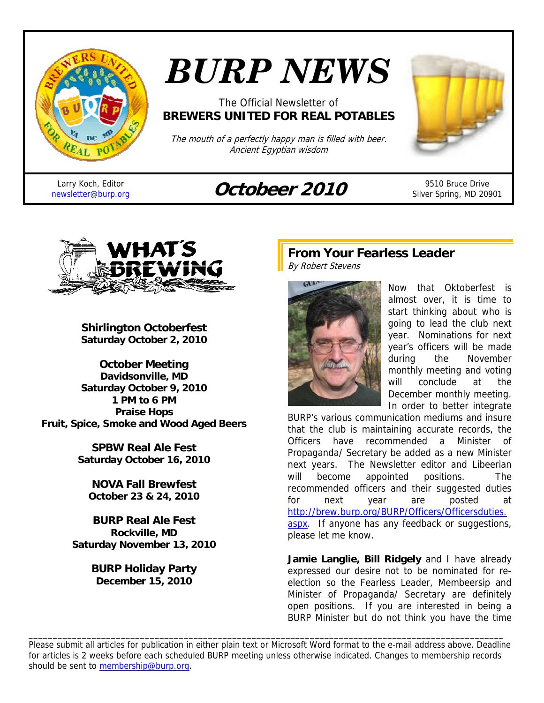

# *BURP NEWS*

#### The Official Newsletter of **BREWERS UNITED FOR REAL POTABLES**

The mouth of a perfectly happy man is filled with beer. Ancient Egyptian wisdom

Larry Koch, Editor

# Larry Koch, Editor **Octobeer 2010** <sup>9510</sup> Bruce Drive<br> **Octobeer 2010** Silver Spring, MD 209

Silver Spring, MD 20901



**Shirlington Octoberfest Saturday October 2, 2010** 

**October Meeting Davidsonville, MD Saturday October 9, 2010 1 PM to 6 PM Praise Hops Fruit, Spice, Smoke and Wood Aged Beers** 

> **SPBW Real Ale Fest Saturday October 16, 2010**

**NOVA Fall Brewfest October 23 & 24, 2010** 

**BURP Real Ale Fest Rockville, MD Saturday November 13, 2010** 

> **BURP Holiday Party December 15, 2010**

#### **From Your Fearless Leader**  By Robert Stevens



Now that Oktoberfest is almost over, it is time to start thinking about who is going to lead the club next year. Nominations for next year's officers will be made during the November monthly meeting and voting will conclude at the December monthly meeting. In order to better integrate

BURP's various communication mediums and insure that the club is maintaining accurate records, the Officers have recommended a Minister of Propaganda/ Secretary be added as a new Minister next years. The Newsletter editor and Libeerian will become appointed positions. The recommended officers and their suggested duties for next year are posted at http://brew.burp.org/BURP/Officers/Officersduties. aspx. If anyone has any feedback or suggestions, please let me know.

**Jamie Langlie, Bill Ridgely** and I have already expressed our desire not to be nominated for reelection so the Fearless Leader, Membeersip and Minister of Propaganda/ Secretary are definitely open positions. If you are interested in being a BURP Minister but do not think you have the time

Please submit all articles for publication in either plain text or Microsoft Word format to the e-mail address above. Deadline for articles is 2 weeks before each scheduled BURP meeting unless otherwise indicated. Changes to membership records should be sent to membership@burp.org.

\_\_\_\_\_\_\_\_\_\_\_\_\_\_\_\_\_\_\_\_\_\_\_\_\_\_\_\_\_\_\_\_\_\_\_\_\_\_\_\_\_\_\_\_\_\_\_\_\_\_\_\_\_\_\_\_\_\_\_\_\_\_\_\_\_\_\_\_\_\_\_\_\_\_\_\_\_\_\_\_\_\_\_\_\_\_\_\_\_\_\_\_\_\_\_\_\_\_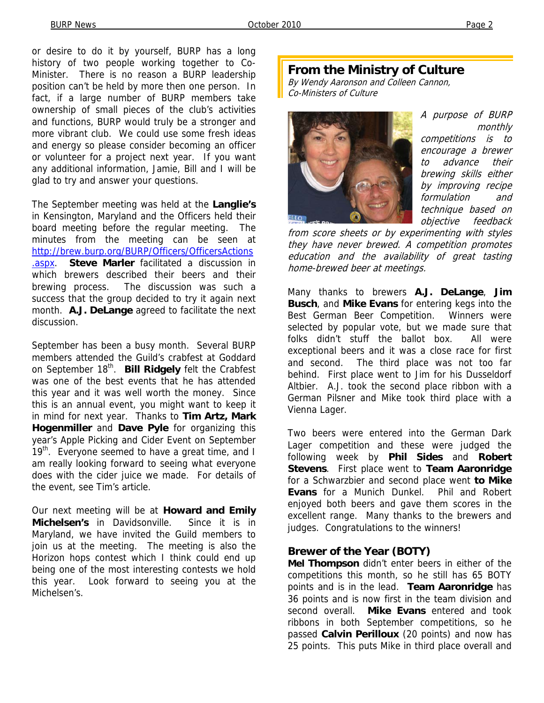or desire to do it by yourself, BURP has a long history of two people working together to Co-Minister. There is no reason a BURP leadership position can't be held by more then one person. In fact, if a large number of BURP members take ownership of small pieces of the club's activities and functions, BURP would truly be a stronger and more vibrant club. We could use some fresh ideas and energy so please consider becoming an officer or volunteer for a project next year. If you want any additional information, Jamie, Bill and I will be glad to try and answer your questions.

The September meeting was held at the **Langlie's** in Kensington, Maryland and the Officers held their board meeting before the regular meeting. The minutes from the meeting can be seen at http://brew.burp.org/BURP/Officers/OfficersActions .aspx. **Steve Marler** facilitated a discussion in which brewers described their beers and their brewing process. The discussion was such a success that the group decided to try it again next month. **A.J. DeLange** agreed to facilitate the next discussion.

September has been a busy month. Several BURP members attended the Guild's crabfest at Goddard on September 18<sup>th</sup>. **Bill Ridgely** felt the Crabfest was one of the best events that he has attended this year and it was well worth the money. Since this is an annual event, you might want to keep it in mind for next year. Thanks to **Tim Artz, Mark Hogenmiller** and **Dave Pyle** for organizing this year's Apple Picking and Cider Event on September  $19<sup>th</sup>$ . Everyone seemed to have a great time, and I am really looking forward to seeing what everyone does with the cider juice we made. For details of the event, see Tim's article.

Our next meeting will be at **Howard and Emily Michelsen's** in Davidsonville. Since it is in Maryland, we have invited the Guild members to join us at the meeting. The meeting is also the Horizon hops contest which I think could end up being one of the most interesting contests we hold this year. Look forward to seeing you at the Michelsen's.

#### **From the Ministry of Culture**

By Wendy Aaronson and Colleen Cannon, Co-Ministers of Culture



A purpose of BURP monthly competitions is to encourage a brewer to advance their brewing skills either by improving recipe formulation and technique based on objective feedback

from score sheets or by experimenting with styles they have never brewed. A competition promotes education and the availability of great tasting home-brewed beer at meetings.

Many thanks to brewers **A.J. DeLange**, **Jim Busch**, and **Mike Evans** for entering kegs into the Best German Beer Competition. Winners were selected by popular vote, but we made sure that folks didn't stuff the ballot box. All were exceptional beers and it was a close race for first and second. The third place was not too far behind. First place went to Jim for his Dusseldorf Altbier. A.J. took the second place ribbon with a German Pilsner and Mike took third place with a Vienna Lager.

Two beers were entered into the German Dark Lager competition and these were judged the following week by **Phil Sides** and **Robert Stevens**. First place went to **Team Aaronridge** for a Schwarzbier and second place went **to Mike Evans** for a Munich Dunkel. Phil and Robert enjoyed both beers and gave them scores in the excellent range. Many thanks to the brewers and judges. Congratulations to the winners!

#### **Brewer of the Year (BOTY)**

**Mel Thompson** didn't enter beers in either of the competitions this month, so he still has 65 BOTY points and is in the lead. **Team Aaronridge** has 36 points and is now first in the team division and second overall. **Mike Evans** entered and took ribbons in both September competitions, so he passed **Calvin Perilloux** (20 points) and now has 25 points. This puts Mike in third place overall and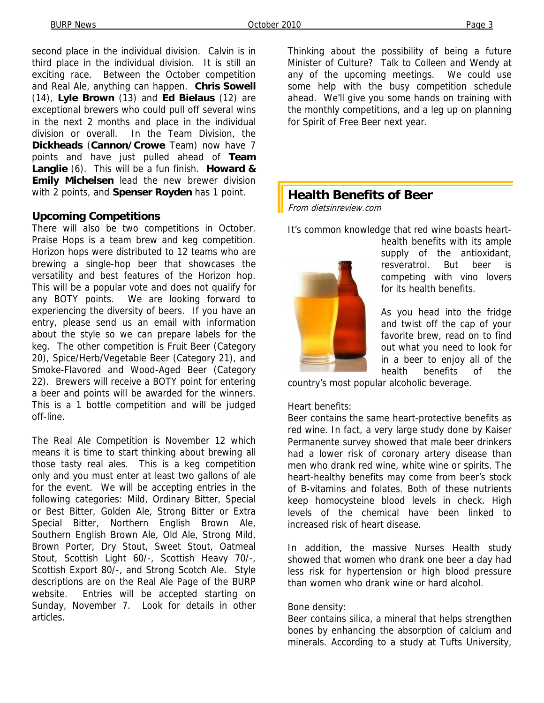second place in the individual division. Calvin is in third place in the individual division. It is still an exciting race. Between the October competition and Real Ale, anything can happen. **Chris Sowell** (14), **Lyle Brown** (13) and **Ed Bielaus** (12) are exceptional brewers who could pull off several wins in the next 2 months and place in the individual division or overall. In the Team Division, the **Dickheads** (**Cannon/Crowe** Team) now have 7 points and have just pulled ahead of **Team Langlie** (6). This will be a fun finish. **Howard & Emily Michelsen** lead the new brewer division with 2 points, and **Spenser Royden** has 1 point.

#### **Upcoming Competitions**

There will also be two competitions in October. Praise Hops is a team brew and keg competition. Horizon hops were distributed to 12 teams who are brewing a single-hop beer that showcases the versatility and best features of the Horizon hop. This will be a popular vote and does not qualify for any BOTY points. We are looking forward to experiencing the diversity of beers. If you have an entry, please send us an email with information about the style so we can prepare labels for the keg. The other competition is Fruit Beer (Category 20), Spice/Herb/Vegetable Beer (Category 21), and Smoke-Flavored and Wood-Aged Beer (Category 22). Brewers will receive a BOTY point for entering a beer and points will be awarded for the winners. This is a 1 bottle competition and will be judged off-line.

The Real Ale Competition is November 12 which means it is time to start thinking about brewing all those tasty real ales. This is a keg competition only and you must enter at least two gallons of ale for the event. We will be accepting entries in the following categories: Mild, Ordinary Bitter, Special or Best Bitter, Golden Ale, Strong Bitter or Extra Special Bitter, Northern English Brown Ale, Southern English Brown Ale, Old Ale, Strong Mild, Brown Porter, Dry Stout, Sweet Stout, Oatmeal Stout, Scottish Light 60/-, Scottish Heavy 70/-, Scottish Export 80/-, and Strong Scotch Ale. Style descriptions are on the Real Ale Page of the BURP website. Entries will be accepted starting on Sunday, November 7. Look for details in other articles.

Thinking about the possibility of being a future Minister of Culture? Talk to Colleen and Wendy at any of the upcoming meetings. We could use some help with the busy competition schedule ahead. We'll give you some hands on training with the monthly competitions, and a leg up on planning for Spirit of Free Beer next year.

## **Health Benefits of Beer**

From dietsinreview.com

It's common knowledge that red wine boasts heart-



health benefits with its ample supply of the antioxidant, resveratrol. But beer is competing with vino lovers for its health benefits.

As you head into the fridge and twist off the cap of your favorite brew, read on to find out what you need to look for in a beer to enjoy all of the health benefits of the

country's most popular alcoholic beverage.

#### Heart benefits:

Beer contains the same heart-protective benefits as red wine. In fact, a very large study done by Kaiser Permanente survey showed that male beer drinkers had a lower risk of coronary artery disease than men who drank red wine, white wine or spirits. The heart-healthy benefits may come from beer's stock of B-vitamins and folates. Both of these nutrients keep homocysteine blood levels in check. High levels of the chemical have been linked to increased risk of heart disease.

In addition, the massive Nurses Health study showed that women who drank one beer a day had less risk for hypertension or high blood pressure than women who drank wine or hard alcohol.

#### Bone density:

Beer contains silica, a mineral that helps strengthen bones by enhancing the absorption of calcium and minerals. According to a study at Tufts University,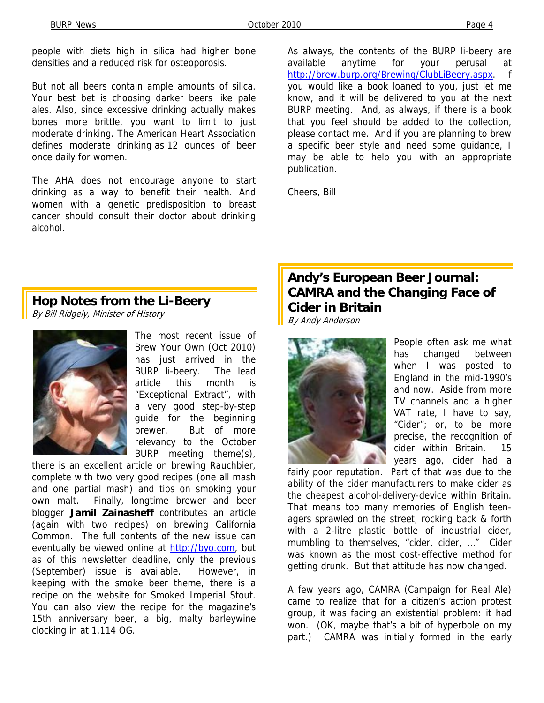people with diets high in silica had higher bone densities and a reduced risk for osteoporosis.

But not all beers contain ample amounts of silica. Your best bet is choosing darker beers like pale ales. Also, since excessive drinking actually makes bones more brittle, you want to limit to just moderate drinking. The American Heart Association defines moderate drinking as 12 ounces of beer once daily for women.

The AHA does not encourage anyone to start drinking as a way to benefit their health. And women with a genetic predisposition to breast cancer should consult their doctor about drinking alcohol.

As always, the contents of the BURP li-beery are available anytime for your perusal at http://brew.burp.org/Brewing/ClubLiBeery.aspx. If you would like a book loaned to you, just let me know, and it will be delivered to you at the next BURP meeting. And, as always, if there is a book that you feel should be added to the collection, please contact me. And if you are planning to brew a specific beer style and need some guidance, I may be able to help you with an appropriate publication.

Cheers, Bill

#### **Hop Notes from the Li-Beery**

By Bill Ridgely, Minister of History



The most recent issue of Brew Your Own (Oct 2010) has just arrived in the BURP li-beery. The lead article this month is "Exceptional Extract", with a very good step-by-step guide for the beginning brewer. But of more relevancy to the October BURP meeting theme(s),

there is an excellent article on brewing Rauchbier, complete with two very good recipes (one all mash and one partial mash) and tips on smoking your own malt. Finally, longtime brewer and beer blogger **Jamil Zainasheff** contributes an article (again with two recipes) on brewing California Common. The full contents of the new issue can eventually be viewed online at http://byo.com, but as of this newsletter deadline, only the previous (September) issue is available. However, in keeping with the smoke beer theme, there is a recipe on the website for Smoked Imperial Stout. You can also view the recipe for the magazine's 15th anniversary beer, a big, malty barleywine clocking in at 1.114 OG.

# **Andy's European Beer Journal: CAMRA and the Changing Face of Cider in Britain**

By Andy Anderson



People often ask me what has changed between when I was posted to England in the mid-1990's and now. Aside from more TV channels and a higher VAT rate, I have to say, "Cider"; or, to be more precise, the recognition of cider within Britain. 15 years ago, cider had a

fairly poor reputation. Part of that was due to the ability of the cider manufacturers to make cider as the cheapest alcohol-delivery-device within Britain. That means too many memories of English teenagers sprawled on the street, rocking back & forth with a 2-litre plastic bottle of industrial cider, mumbling to themselves, "cider, cider, …" Cider was known as the most cost-effective method for getting drunk. But that attitude has now changed.

A few years ago, CAMRA (Campaign for Real Ale) came to realize that for a citizen's action protest group, it was facing an existential problem: it had won. (OK, maybe that's a bit of hyperbole on my part.) CAMRA was initially formed in the early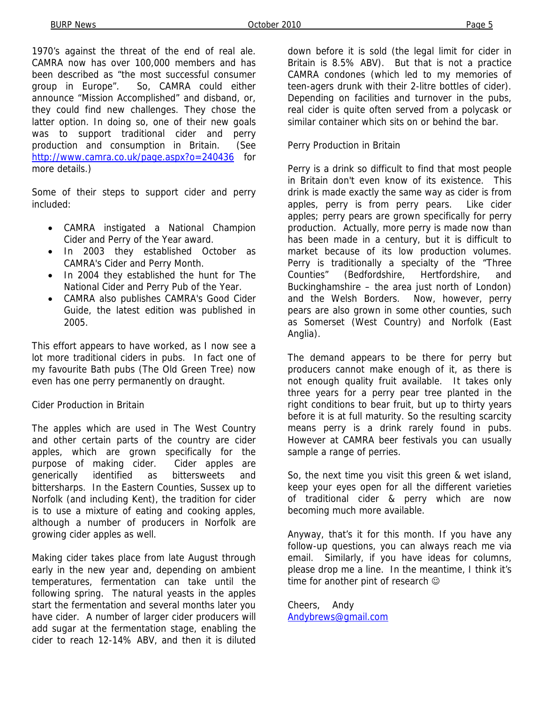1970's against the threat of the end of real ale. CAMRA now has over 100,000 members and has been described as "the most successful consumer group in Europe". So, CAMRA could either announce "Mission Accomplished" and disband, or, they could find new challenges. They chose the latter option. In doing so, one of their new goals was to support traditional cider and perry production and consumption in Britain. (See http://www.camra.co.uk/page.aspx?o=240436 for more details.)

Some of their steps to support cider and perry included:

- CAMRA instigated a National Champion Cider and Perry of the Year award.
- In 2003 they established October as CAMRA's Cider and Perry Month.
- In 2004 they established the hunt for The National Cider and Perry Pub of the Year.
- CAMRA also publishes CAMRA's Good Cider Guide, the latest edition was published in 2005.

This effort appears to have worked, as I now see a lot more traditional ciders in pubs. In fact one of my favourite Bath pubs (The Old Green Tree) now even has one perry permanently on draught.

#### Cider Production in Britain

The apples which are used in The West Country and other certain parts of the country are cider apples, which are grown specifically for the purpose of making cider. Cider apples are generically identified as bittersweets and bittersharps. In the Eastern Counties, Sussex up to Norfolk (and including Kent), the tradition for cider is to use a mixture of eating and cooking apples, although a number of producers in Norfolk are growing cider apples as well.

Making cider takes place from late August through early in the new year and, depending on ambient temperatures, fermentation can take until the following spring. The natural yeasts in the apples start the fermentation and several months later you have cider. A number of larger cider producers will add sugar at the fermentation stage, enabling the cider to reach 12-14% ABV, and then it is diluted

down before it is sold (the legal limit for cider in Britain is 8.5% ABV). But that is not a practice CAMRA condones (which led to my memories of teen-agers drunk with their 2-litre bottles of cider). Depending on facilities and turnover in the pubs, real cider is quite often served from a polycask or similar container which sits on or behind the bar.

#### Perry Production in Britain

Perry is a drink so difficult to find that most people in Britain don't even know of its existence. This drink is made exactly the same way as cider is from apples, perry is from perry pears. Like cider apples; perry pears are grown specifically for perry production. Actually, more perry is made now than has been made in a century, but it is difficult to market because of its low production volumes. Perry is traditionally a specialty of the "Three Counties" (Bedfordshire, Hertfordshire, and Buckinghamshire – the area just north of London) and the Welsh Borders. Now, however, perry pears are also grown in some other counties, such as Somerset (West Country) and Norfolk (East Anglia).

The demand appears to be there for perry but producers cannot make enough of it, as there is not enough quality fruit available. It takes only three years for a perry pear tree planted in the right conditions to bear fruit, but up to thirty years before it is at full maturity. So the resulting scarcity means perry is a drink rarely found in pubs. However at CAMRA beer festivals you can usually sample a range of perries.

So, the next time you visit this green & wet island, keep your eyes open for all the different varieties of traditional cider & perry which are now becoming much more available.

Anyway, that's it for this month. If you have any follow-up questions, you can always reach me via email. Similarly, if you have ideas for columns, please drop me a line. In the meantime, I think it's time for another pint of research  $\odot$ 

Cheers, Andy Andybrews@gmail.com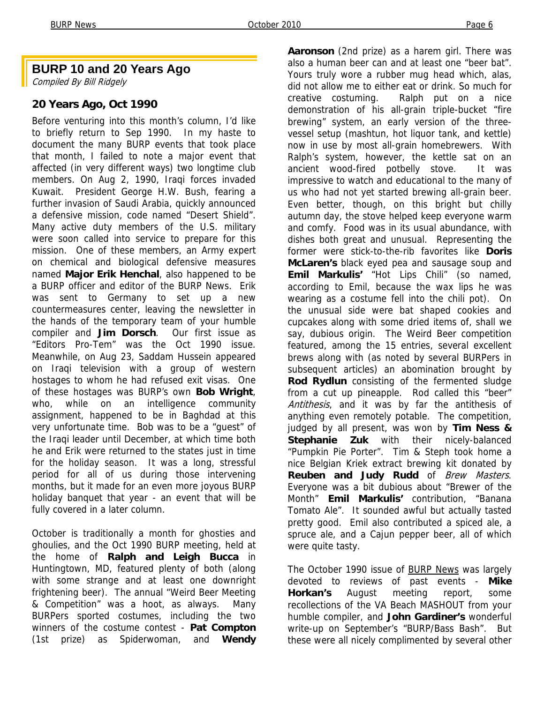#### **BURP 10 and 20 Years Ago**

Compiled By Bill Ridgely

#### **20 Years Ago, Oct 1990**

Before venturing into this month's column, I'd like to briefly return to Sep 1990. In my haste to document the many BURP events that took place that month, I failed to note a major event that affected (in very different ways) two longtime club members. On Aug 2, 1990, Iraqi forces invaded Kuwait. President George H.W. Bush, fearing a further invasion of Saudi Arabia, quickly announced a defensive mission, code named "Desert Shield". Many active duty members of the U.S. military were soon called into service to prepare for this mission. One of these members, an Army expert on chemical and biological defensive measures named **Major Erik Henchal**, also happened to be a BURP officer and editor of the BURP News. Erik was sent to Germany to set up a new countermeasures center, leaving the newsletter in the hands of the temporary team of your humble compiler and **Jim Dorsch**. Our first issue as "Editors Pro-Tem" was the Oct 1990 issue. Meanwhile, on Aug 23, Saddam Hussein appeared on Iraqi television with a group of western hostages to whom he had refused exit visas. One of these hostages was BURP's own **Bob Wright**, who, while on an intelligence community assignment, happened to be in Baghdad at this very unfortunate time. Bob was to be a "guest" of the Iraqi leader until December, at which time both he and Erik were returned to the states just in time for the holiday season. It was a long, stressful period for all of us during those intervening months, but it made for an even more joyous BURP holiday banquet that year - an event that will be fully covered in a later column.

October is traditionally a month for ghosties and ghoulies, and the Oct 1990 BURP meeting, held at the home of **Ralph and Leigh Bucca** in Huntingtown, MD, featured plenty of both (along with some strange and at least one downright frightening beer). The annual "Weird Beer Meeting & Competition" was a hoot, as always. Many BURPers sported costumes, including the two winners of the costume contest - **Pat Compton**  (1st prize) as Spiderwoman, and **Wendy** 

**Aaronson** (2nd prize) as a harem girl. There was also a human beer can and at least one "beer bat". Yours truly wore a rubber mug head which, alas, did not allow me to either eat or drink. So much for creative costuming. Ralph put on a nice demonstration of his all-grain triple-bucket "fire brewing" system, an early version of the threevessel setup (mashtun, hot liquor tank, and kettle) now in use by most all-grain homebrewers. With Ralph's system, however, the kettle sat on an ancient wood-fired potbelly stove. It was impressive to watch and educational to the many of us who had not yet started brewing all-grain beer. Even better, though, on this bright but chilly autumn day, the stove helped keep everyone warm and comfy. Food was in its usual abundance, with dishes both great and unusual. Representing the former were stick-to-the-rib favorites like **Doris McLaren's** black eyed pea and sausage soup and **Emil Markulis'** "Hot Lips Chili" (so named, according to Emil, because the wax lips he was wearing as a costume fell into the chili pot). On the unusual side were bat shaped cookies and cupcakes along with some dried items of, shall we say, dubious origin. The Weird Beer competition featured, among the 15 entries, several excellent brews along with (as noted by several BURPers in subsequent articles) an abomination brought by **Rod Rydlun** consisting of the fermented sludge from a cut up pineapple. Rod called this "beer" Antithesis, and it was by far the antithesis of anything even remotely potable. The competition, judged by all present, was won by **Tim Ness & Stephanie Zuk** with their nicely-balanced "Pumpkin Pie Porter". Tim & Steph took home a nice Belgian Kriek extract brewing kit donated by **Reuben and Judy Rudd** of Brew Masters. Everyone was a bit dubious about "Brewer of the Month" **Emil Markulis'** contribution, "Banana Tomato Ale". It sounded awful but actually tasted pretty good. Emil also contributed a spiced ale, a spruce ale, and a Cajun pepper beer, all of which were quite tasty.

The October 1990 issue of **BURP News** was largely devoted to reviews of past events - **Mike Horkan's** August meeting report, some recollections of the VA Beach MASHOUT from your humble compiler, and **John Gardiner's** wonderful write-up on September's "BURP/Bass Bash". But these were all nicely complimented by several other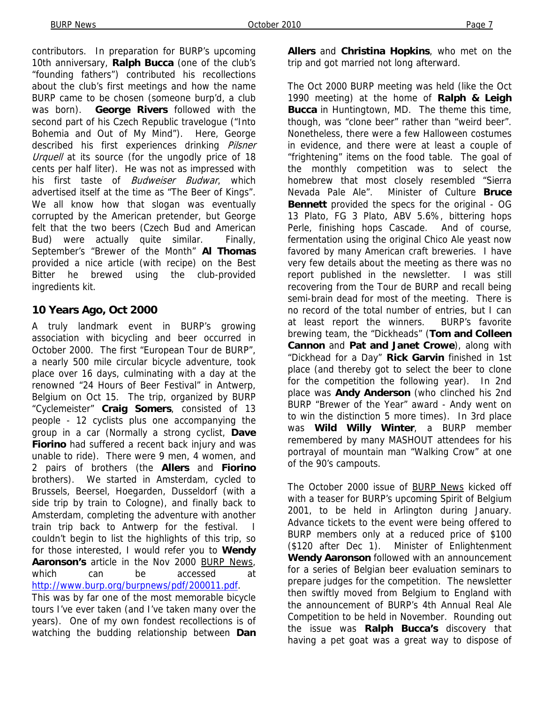contributors. In preparation for BURP's upcoming 10th anniversary, **Ralph Bucca** (one of the club's "founding fathers") contributed his recollections about the club's first meetings and how the name BURP came to be chosen (someone burp'd, a club was born). **George Rivers** followed with the second part of his Czech Republic travelogue ("Into Bohemia and Out of My Mind"). Here, George described his first experiences drinking Pilsner Urquell at its source (for the ungodly price of 18 cents per half liter). He was not as impressed with his first taste of Budweiser Budwar, which advertised itself at the time as "The Beer of Kings". We all know how that slogan was eventually corrupted by the American pretender, but George felt that the two beers (Czech Bud and American Bud) were actually quite similar. Finally, September's "Brewer of the Month" **Al Thomas**  provided a nice article (with recipe) on the Best Bitter he brewed using the club-provided ingredients kit.

#### **10 Years Ago, Oct 2000**

A truly landmark event in BURP's growing association with bicycling and beer occurred in October 2000. The first "European Tour de BURP", a nearly 500 mile circular bicycle adventure, took place over 16 days, culminating with a day at the renowned "24 Hours of Beer Festival" in Antwerp, Belgium on Oct 15. The trip, organized by BURP "Cyclemeister" **Craig Somers**, consisted of 13 people - 12 cyclists plus one accompanying the group in a car (Normally a strong cyclist, **Dave Fiorino** had suffered a recent back injury and was unable to ride). There were 9 men, 4 women, and 2 pairs of brothers (the **Allers** and **Fiorino**  brothers). We started in Amsterdam, cycled to Brussels, Beersel, Hoegarden, Dusseldorf (with a side trip by train to Cologne), and finally back to Amsterdam, completing the adventure with another train trip back to Antwerp for the festival. couldn't begin to list the highlights of this trip, so for those interested, I would refer you to **Wendy Aaronson's** article in the Nov 2000 BURP News, which can be accessed at http://www.burp.org/burpnews/pdf/200011.pdf.

This was by far one of the most memorable bicycle tours I've ever taken (and I've taken many over the years). One of my own fondest recollections is of watching the budding relationship between **Dan**  **Allers** and **Christina Hopkins**, who met on the trip and got married not long afterward.

The Oct 2000 BURP meeting was held (like the Oct 1990 meeting) at the home of **Ralph & Leigh Bucca** in Huntingtown, MD. The theme this time, though, was "clone beer" rather than "weird beer". Nonetheless, there were a few Halloween costumes in evidence, and there were at least a couple of "frightening" items on the food table. The goal of the monthly competition was to select the homebrew that most closely resembled "Sierra Nevada Pale Ale". Minister of Culture **Bruce Bennett** provided the specs for the original - OG 13 Plato, FG 3 Plato, ABV 5.6%, bittering hops Perle, finishing hops Cascade. And of course, fermentation using the original Chico Ale yeast now favored by many American craft breweries. I have very few details about the meeting as there was no report published in the newsletter. I was still recovering from the Tour de BURP and recall being semi-brain dead for most of the meeting. There is no record of the total number of entries, but I can at least report the winners. BURP's favorite brewing team, the "Dickheads" (**Tom and Colleen Cannon** and **Pat and Janet Crowe**), along with "Dickhead for a Day" **Rick Garvin** finished in 1st place (and thereby got to select the beer to clone for the competition the following year). In 2nd place was **Andy Anderson** (who clinched his 2nd BURP "Brewer of the Year" award - Andy went on to win the distinction 5 more times). In 3rd place was **Wild Willy Winter**, a BURP member remembered by many MASHOUT attendees for his portrayal of mountain man "Walking Crow" at one of the 90's campouts.

The October 2000 issue of **BURP News** kicked off with a teaser for BURP's upcoming Spirit of Belgium 2001, to be held in Arlington during January. Advance tickets to the event were being offered to BURP members only at a reduced price of \$100 (\$120 after Dec 1). Minister of Enlightenment **Wendy Aaronson** followed with an announcement for a series of Belgian beer evaluation seminars to prepare judges for the competition. The newsletter then swiftly moved from Belgium to England with the announcement of BURP's 4th Annual Real Ale Competition to be held in November. Rounding out the issue was **Ralph Bucca's** discovery that having a pet goat was a great way to dispose of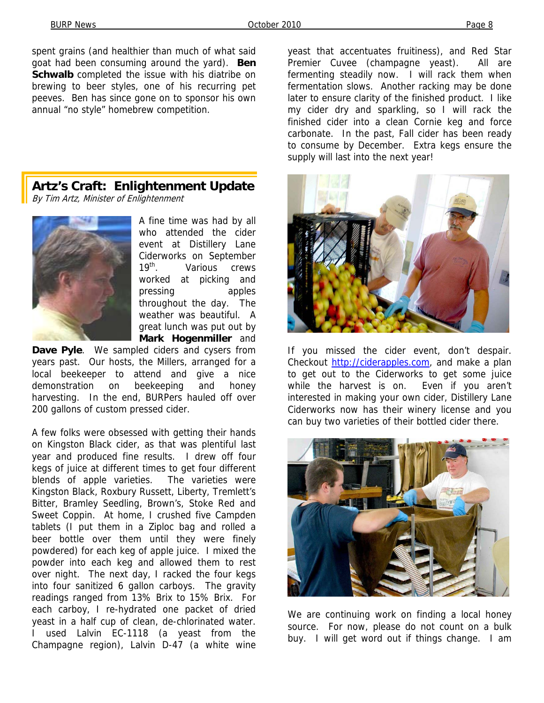spent grains (and healthier than much of what said goat had been consuming around the yard). **Ben Schwalb** completed the issue with his diatribe on brewing to beer styles, one of his recurring pet peeves. Ben has since gone on to sponsor his own annual "no style" homebrew competition.

**Artz's Craft: Enlightenment Update**  By Tim Artz, Minister of Enlightenment



A fine time was had by all who attended the cider event at Distillery Lane Ciderworks on September 19<sup>th</sup> Various crews worked at picking and pressing apples throughout the day. The weather was beautiful. A great lunch was put out by **Mark Hogenmiller** and

**Dave Pyle**. We sampled ciders and cysers from years past. Our hosts, the Millers, arranged for a local beekeeper to attend and give a nice demonstration on beekeeping and honey harvesting. In the end, BURPers hauled off over 200 gallons of custom pressed cider.

A few folks were obsessed with getting their hands on Kingston Black cider, as that was plentiful last year and produced fine results. I drew off four kegs of juice at different times to get four different blends of apple varieties. The varieties were Kingston Black, Roxbury Russett, Liberty, Tremlett's Bitter, Bramley Seedling, Brown's, Stoke Red and Sweet Coppin. At home, I crushed five Campden tablets (I put them in a Ziploc bag and rolled a beer bottle over them until they were finely powdered) for each keg of apple juice. I mixed the powder into each keg and allowed them to rest over night. The next day, I racked the four kegs into four sanitized 6 gallon carboys. The gravity readings ranged from 13% Brix to 15% Brix. For each carboy, I re-hydrated one packet of dried yeast in a half cup of clean, de-chlorinated water. I used Lalvin EC-1118 (a yeast from the Champagne region), Lalvin D-47 (a white wine

yeast that accentuates fruitiness), and Red Star Premier Cuvee (champagne yeast). All are fermenting steadily now. I will rack them when fermentation slows. Another racking may be done later to ensure clarity of the finished product. I like my cider dry and sparkling, so I will rack the finished cider into a clean Cornie keg and force carbonate. In the past, Fall cider has been ready to consume by December. Extra kegs ensure the supply will last into the next year!



If you missed the cider event, don't despair. Checkout http://ciderapples.com, and make a plan to get out to the Ciderworks to get some juice while the harvest is on. Even if you aren't interested in making your own cider, Distillery Lane Ciderworks now has their winery license and you can buy two varieties of their bottled cider there.



We are continuing work on finding a local honey source. For now, please do not count on a bulk buy. I will get word out if things change. I am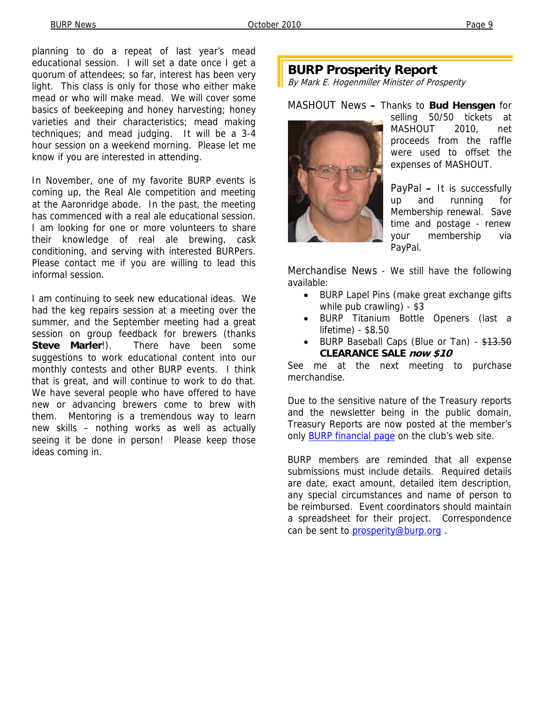planning to do a repeat of last year's mead educational session. I will set a date once I get a quorum of attendees; so far, interest has been very light. This class is only for those who either make mead or who will make mead. We will cover some basics of beekeeping and honey harvesting; honey varieties and their characteristics; mead making techniques; and mead judging. It will be a 3-4 hour session on a weekend morning. Please let me know if you are interested in attending.

In November, one of my favorite BURP events is coming up, the Real Ale competition and meeting at the Aaronridge abode. In the past, the meeting has commenced with a real ale educational session. I am looking for one or more volunteers to share their knowledge of real ale brewing, cask conditioning, and serving with interested BURPers. Please contact me if you are willing to lead this informal session.

I am continuing to seek new educational ideas. We had the keg repairs session at a meeting over the summer, and the September meeting had a great session on group feedback for brewers (thanks **Steve Marler!**). There have been some suggestions to work educational content into our monthly contests and other BURP events. I think that is great, and will continue to work to do that. We have several people who have offered to have new or advancing brewers come to brew with them. Mentoring is a tremendous way to learn new skills – nothing works as well as actually seeing it be done in person! Please keep those ideas coming in.

## **BURP Prosperity Report**

By Mark E. Hogenmiller Minister of Prosperity

MASHOUT News **–** Thanks to **Bud Hensgen** for



selling 50/50 tickets at MASHOUT 2010, net proceeds from the raffle were used to offset the expenses of MASHOUT.

PayPal **–** It is successfully up and running for Membership renewal. Save time and postage - renew your membership via PayPal.

Merchandise News - We still have the following available:

- BURP Lapel Pins (make great exchange gifts while pub crawling) - \$3
- BURP Titanium Bottle Openers (last a lifetime) - \$8.50
- BURP Baseball Caps (Blue or Tan) \$13.50 **CLEARANCE SALE now \$10**

See me at the next meeting to purchase merchandise.

Due to the sensitive nature of the Treasury reports and the newsletter being in the public domain, Treasury Reports are now posted at the member's only **BURP** financial page on the club's web site.

BURP members are reminded that all expense submissions must include details. Required details are date, exact amount, detailed item description, any special circumstances and name of person to be reimbursed. Event coordinators should maintain a spreadsheet for their project. Correspondence can be sent to prosperity@burp.org.